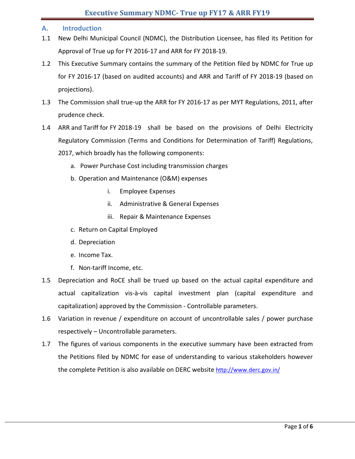# **A. Introduction**

- 1.1 New Delhi Municipal Council (NDMC), the Distribution Licensee, has filed its Petition for Approval of True up for FY 2016-17 and ARR for FY 2018-19.
- 1.2 This Executive Summary contains the summary of the Petition filed by NDMC for True up for FY 2016-17 (based on audited accounts) and ARR and Tariff of FY 2018-19 (based on projections).
- 1.3 The Commission shall true-up the ARR for FY 2016-17 as per MYT Regulations, 2011, after prudence check.
- 1.4 ARR and Tariff for FY 2018-19 shall be based on the provisions of Delhi Electricity Regulatory Commission (Terms and Conditions for Determination of Tariff) Regulations, 2017, which broadly has the following components:
	- a. Power Purchase Cost including transmission charges
	- b. Operation and Maintenance (O&M) expenses
		- i. Employee Expenses
		- ii. Administrative & General Expenses
		- iii. Repair & Maintenance Expenses
	- c. Return on Capital Employed
	- d. Depreciation
	- e. Income Tax.
	- f. Non-tariff Income, etc.
- 1.5 Depreciation and RoCE shall be trued up based on the actual capital expenditure and actual capitalization vis-à-vis capital investment plan (capital expenditure and capitalization) approved by the Commission - Controllable parameters.
- 1.6 Variation in revenue / expenditure on account of uncontrollable sales / power purchase respectively – Uncontrollable parameters.
- 1.7 The figures of various components in the executive summary have been extracted from the Petitions filed by NDMC for ease of understanding to various stakeholders however the complete Petition is also available on DERC website <http://www.derc.gov.in/>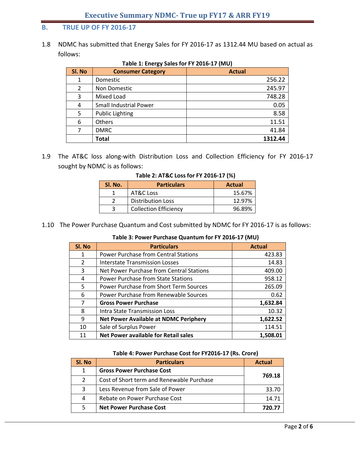# **B. TRUE UP OF FY 2016-17**

1.8 NDMC has submitted that Energy Sales for FY 2016-17 as 1312.44 MU based on actual as follows:

| SI. No | <b>Consumer Category</b>      | <b>Actual</b> |
|--------|-------------------------------|---------------|
| 1      | Domestic                      | 256.22        |
| 2      | Non Domestic                  | 245.97        |
| 3      | Mixed Load                    | 748.28        |
| 4      | <b>Small Industrial Power</b> | 0.05          |
| 5      | <b>Public Lighting</b>        | 8.58          |
| 6      | <b>Others</b>                 | 11.51         |
| 7      | <b>DMRC</b>                   | 41.84         |
|        | Total                         | 1312.44       |

**Table 1: Energy Sales for FY 2016-17 (MU)**

1.9 The AT&C loss along-with Distribution Loss and Collection Efficiency for FY 2016-17 sought by NDMC is as follows:

| SI. No. | <b>Particulars</b>           | <b>Actual</b> |  |
|---------|------------------------------|---------------|--|
|         | AT&C Loss                    | 15.67%        |  |
|         | <b>Distribution Loss</b>     | 12.97%        |  |
|         | <b>Collection Efficiency</b> | 96.89%        |  |

#### **Table 2: AT&C Loss for FY 2016-17 (%)**

1.10 The Power Purchase Quantum and Cost submitted by NDMC for FY 2016-17 is as follows:

| Table 3: Power Purchase Quantum for FY 2016-17 (MU) |  |
|-----------------------------------------------------|--|
|                                                     |  |

| Sl. No         | <b>Particulars</b>                            | <b>Actual</b> |
|----------------|-----------------------------------------------|---------------|
| 1              | <b>Power Purchase from Central Stations</b>   | 423.83        |
| $\overline{2}$ | <b>Interstate Transmission Losses</b>         | 14.83         |
| 3              | Net Power Purchase from Central Stations      | 409.00        |
| 4              | <b>Power Purchase from State Stations</b>     | 958.12        |
| 5              | <b>Power Purchase from Short Term Sources</b> | 265.09        |
| 6              | Power Purchase from Renewable Sources         | 0.62          |
| 7              | <b>Gross Power Purchase</b>                   | 1,632.84      |
| 8              | Intra State Transmission Loss                 | 10.32         |
| 9              | <b>Net Power Available at NDMC Periphery</b>  | 1,622.52      |
| 10             | Sale of Surplus Power                         | 114.51        |
| 11             | <b>Net Power available for Retail sales</b>   | 1,508.01      |

#### **Table 4: Power Purchase Cost for FY2016-17 (Rs. Crore)**

| SI. No | <b>Particulars</b>                        | <b>Actual</b> |
|--------|-------------------------------------------|---------------|
| 1      | <b>Gross Power Purchase Cost</b>          |               |
| 2      | Cost of Short term and Renewable Purchase | 769.18        |
| 3      | Less Revenue from Sale of Power           | 33.70         |
| 4      | Rebate on Power Purchase Cost             | 14.71         |
| 5      | <b>Net Power Purchase Cost</b>            |               |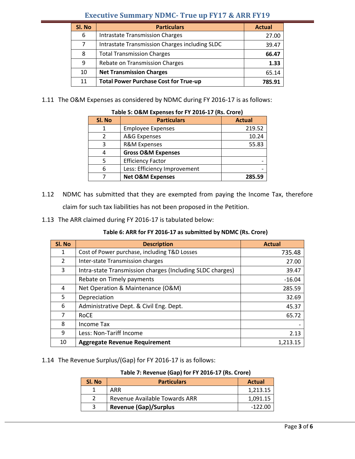# **Executive Summary NDMC- True up FY17 & ARR FY19**

| SI. No | <b>Particulars</b>                             | <b>Actual</b> |
|--------|------------------------------------------------|---------------|
| 6      | <b>Intrastate Transmission Charges</b>         | 27.00         |
|        | Intrastate Transmission Charges including SLDC | 39.47         |
| 8      | <b>Total Transmission Charges</b>              | 66.47         |
| 9      | Rebate on Transmission Charges                 | 1.33          |
| 10     | <b>Net Transmission Charges</b>                | 65.14         |
| 11     | <b>Total Power Purchase Cost for True-up</b>   | 785.91        |

1.11 The O&M Expenses as considered by NDMC during FY 2016-17 is as follows:

| Table 5: O&IVI Expenses for FT 2016-17 (KS. Crore) |                               |               |  |  |
|----------------------------------------------------|-------------------------------|---------------|--|--|
| SI. No                                             | <b>Particulars</b>            | <b>Actual</b> |  |  |
|                                                    | <b>Employee Expenses</b>      | 219.52        |  |  |
|                                                    | A&G Expenses                  | 10.24         |  |  |
| 3                                                  | <b>R&amp;M Expenses</b>       | 55.83         |  |  |
| 4                                                  | <b>Gross O&amp;M Expenses</b> |               |  |  |
| 5                                                  | <b>Efficiency Factor</b>      |               |  |  |
| 6                                                  | Less: Efficiency Improvement  |               |  |  |
|                                                    | <b>Net O&amp;M Expenses</b>   | 285.59        |  |  |

# **Table 5: O&M Expenses for FY 2016-17 (Rs. Crore)**

- 1.12 NDMC has submitted that they are exempted from paying the Income Tax, therefore claim for such tax liabilities has not been proposed in the Petition.
- 1.13 The ARR claimed during FY 2016-17 is tabulated below:

# **Table 6: ARR for FY 2016-17 as submitted by NDMC (Rs. Crore)**

| Sl. No | <b>Description</b>                                        | <b>Actual</b> |
|--------|-----------------------------------------------------------|---------------|
| 1      | Cost of Power purchase, including T&D Losses              | 735.48        |
| 2      | Inter-state Transmission charges                          | 27.00         |
| 3      | Intra-state Transmission charges (Including SLDC charges) | 39.47         |
|        | Rebate on Timely payments                                 | $-16.04$      |
| 4      | Net Operation & Maintenance (O&M)                         | 285.59        |
| 5      | Depreciation                                              | 32.69         |
| 6      | Administrative Dept. & Civil Eng. Dept.                   | 45.37         |
| 7      | <b>ROCE</b>                                               | 65.72         |
| 8      | Income Tax                                                |               |
| 9      | Less: Non-Tariff Income                                   | 2.13          |
| 10     | <b>Aggregate Revenue Requirement</b>                      | 1.213.15      |

# 1.14 The Revenue Surplus/(Gap) for FY 2016-17 is as follows:

# **Table 7: Revenue (Gap) for FY 2016-17 (Rs. Crore)**

| SI. No | <b>Particulars</b>            | <b>Actual</b> |
|--------|-------------------------------|---------------|
|        | ARR                           | 1,213.15      |
|        | Revenue Available Towards ARR | 1,091.15      |
| ્ર     | <b>Revenue (Gap)/Surplus</b>  | -122.00       |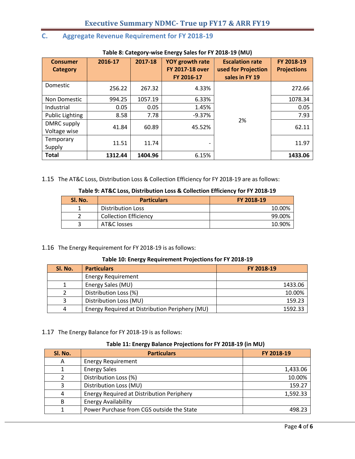# **C. Aggregate Revenue Requirement for FY 2018-19**

| <b>Consumer</b><br><b>Category</b> | 2016-17 | 2017-18 | YOY growth rate<br><b>FY 2017-18 over</b><br>FY 2016-17 | <b>Escalation rate</b><br>used for Projection<br>sales in FY 19 | FY 2018-19<br><b>Projections</b> |
|------------------------------------|---------|---------|---------------------------------------------------------|-----------------------------------------------------------------|----------------------------------|
| Domestic                           | 256.22  | 267.32  | 4.33%                                                   |                                                                 | 272.66                           |
| Non Domestic                       | 994.25  | 1057.19 | 6.33%                                                   |                                                                 | 1078.34                          |
| <b>Industrial</b>                  | 0.05    | 0.05    | 1.45%                                                   |                                                                 | 0.05                             |
| <b>Public Lighting</b>             | 8.58    | 7.78    | $-9.37%$                                                |                                                                 | 7.93                             |
| DMRC supply<br>Voltage wise        | 41.84   | 60.89   | 45.52%                                                  | 2%                                                              | 62.11                            |
| Temporary<br>Supply                | 11.51   | 11.74   | -                                                       |                                                                 | 11.97                            |
| <b>Total</b>                       | 1312.44 | 1404.96 | 6.15%                                                   |                                                                 | 1433.06                          |

#### **Table 8: Category-wise Energy Sales for FY 2018-19 (MU)**

1.15 The AT&C Loss, Distribution Loss & Collection Efficiency for FY 2018-19 are as follows:

#### **Table 9: AT&C Loss, Distribution Loss & Collection Efficiency for FY 2018-19**

| SI. No. | <b>Particulars</b>           | FY 2018-19 |
|---------|------------------------------|------------|
|         | <b>Distribution Loss</b>     | 10.00%     |
|         | <b>Collection Efficiency</b> | 99.00%     |
|         | AT&C losses                  | 10.90%     |

# 1.16 The Energy Requirement for FY 2018-19 is as follows:

#### **Table 10: Energy Requirement Projections for FY 2018-19**

| SI. No. | <b>Particulars</b>                             | FY 2018-19 |
|---------|------------------------------------------------|------------|
|         | <b>Energy Requirement</b>                      |            |
|         | Energy Sales (MU)                              | 1433.06    |
|         | Distribution Loss (%)                          | 10.00%     |
|         | Distribution Loss (MU)                         | 159.23     |
| 4       | Energy Required at Distribution Periphery (MU) | 1592.33    |

1.17 The Energy Balance for FY 2018-19 is as follows:

#### **Table 11: Energy Balance Projections for FY 2018-19 (in MU)**

| Sl. No. | <b>Particulars</b>                               | FY 2018-19 |
|---------|--------------------------------------------------|------------|
| A       | <b>Energy Requirement</b>                        |            |
|         | <b>Energy Sales</b>                              | 1,433.06   |
|         | Distribution Loss (%)                            | 10.00%     |
| 3       | Distribution Loss (MU)                           | 159.27     |
| 4       | <b>Energy Required at Distribution Periphery</b> | 1,592.33   |
| B       | <b>Energy Availability</b>                       |            |
|         | Power Purchase from CGS outside the State        | 498.23     |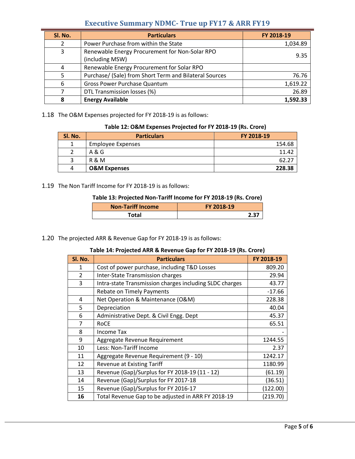# **Executive Summary NDMC- True up FY17 & ARR FY19**

| Sl. No. | <b>Particulars</b>                                                | FY 2018-19 |
|---------|-------------------------------------------------------------------|------------|
| 2       | Power Purchase from within the State                              | 1,034.89   |
| 3       | Renewable Energy Procurement for Non-Solar RPO<br>(including MSW) | 9.35       |
|         | Renewable Energy Procurement for Solar RPO                        |            |
|         | Purchase/ (Sale) from Short Term and Bilateral Sources            | 76.76      |
| 6       | Gross Power Purchase Quantum                                      | 1,619.22   |
|         | DTL Transmission losses (%)                                       | 26.89      |
| 8       | <b>Energy Available</b>                                           | 1,592.33   |

1.18 The O&M Expenses projected for FY 2018-19 is as follows:

#### **Table 12: O&M Expenses Projected for FY 2018-19 (Rs. Crore)**

| SI. No. | <b>Particulars</b>      | FY 2018-19 |
|---------|-------------------------|------------|
|         | Employee Expenses       | 154.68     |
|         | A & G                   | 11.42      |
|         | R & M                   | 62.27      |
| 4       | <b>O&amp;M Expenses</b> | 228.38     |

1.19 The Non Tariff Income for FY 2018-19 is as follows:

#### **Table 13: Projected Non-Tariff Income for FY 2018-19 (Rs. Crore)**

| <b>Non-Tariff Income</b> | FY 2018-19 |  |  |
|--------------------------|------------|--|--|
| Total                    |            |  |  |

#### 1.20 The projected ARR & Revenue Gap for FY 2018-19 is as follows:

### **Table 14: Projected ARR & Revenue Gap for FY 2018-19 (Rs. Crore)**

| SI. No.        | <b>Particulars</b>                                      | FY 2018-19 |
|----------------|---------------------------------------------------------|------------|
| 1              | Cost of power purchase, including T&D Losses            | 809.20     |
| $\overline{2}$ | Inter-State Transmission charges                        | 29.94      |
| 3              | Intra-state Transmission charges including SLDC charges | 43.77      |
|                | <b>Rebate on Timely Payments</b>                        | $-17.66$   |
| 4              | Net Operation & Maintenance (O&M)                       | 228.38     |
| 5              | Depreciation                                            | 40.04      |
| 6              | Administrative Dept. & Civil Engg. Dept                 | 45.37      |
| $\overline{7}$ | <b>RoCE</b>                                             | 65.51      |
| 8              | Income Tax                                              |            |
| 9              | Aggregate Revenue Requirement                           | 1244.55    |
| 10             | Less: Non-Tariff Income                                 | 2.37       |
| 11             | Aggregate Revenue Requirement (9 - 10)                  | 1242.17    |
| 12             | <b>Revenue at Existing Tariff</b>                       | 1180.99    |
| 13             | Revenue (Gap)/Surplus for FY 2018-19 (11 - 12)          | (61.19)    |
| 14             | Revenue (Gap)/Surplus for FY 2017-18                    | (36.51)    |
| 15             | Revenue (Gap)/Surplus for FY 2016-17                    | (122.00)   |
| 16             | Total Revenue Gap to be adjusted in ARR FY 2018-19      | (219.70)   |